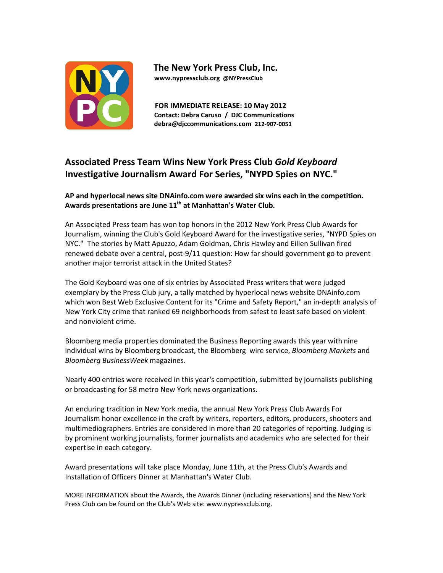

 **The New York Press Club, Inc. www.nypressclub.org @NYPressClub**

 **FOR IMMEDIATE RELEASE: 10 May 2012 Contact: Debra Caruso / DJC Communications debra@djccommunications.com 212‐907‐0051**

# **Associated Press Team Wins New York Press Club** *Gold Keyboard* **Investigative Journalism Award For Series, "NYPD Spies on NYC."**

**AP and hyperlocal news site DNAinfo.com were awarded six wins each in the competition.** Awards presentations are June 11<sup>th</sup> at Manhattan's Water Club.

An Associated Press team has won top honors in the 2012 New York Press Club Awards for Journalism, winning the Club's Gold Keyboard Award for the investigative series, "NYPD Spies on NYC." The stories by Matt Apuzzo, Adam Goldman, Chris Hawley and Eillen Sullivan fired renewed debate over a central, post‐9/11 question: How far should government go to prevent another major terrorist attack in the United States?

The Gold Keyboard was one of six entries by Associated Press writers that were judged exemplary by the Press Club jury, a tally matched by hyperlocal news website DNAinfo.com which won Best Web Exclusive Content for its "Crime and Safety Report," an in‐depth analysis of New York City crime that ranked 69 neighborhoods from safest to least safe based on violent and nonviolent crime.

Bloomberg media properties dominated the Business Reporting awards this year with nine individual wins by Bloomberg broadcast, the Bloomberg wire service, *Bloomberg Markets* and *Bloomberg BusinessWeek* magazines.

Nearly 400 entries were received in this year's competition, submitted by journalists publishing or broadcasting for 58 metro New York news organizations.

An enduring tradition in New York media, the annual New York Press Club Awards For Journalism honor excellence in the craft by writers, reporters, editors, producers, shooters and multimediographers. Entries are considered in more than 20 categories of reporting. Judging is by prominent working journalists, former journalists and academics who are selected for their expertise in each category.

Award presentations will take place Monday, June 11th, at the Press Club's Awards and Installation of Officers Dinner at Manhattan's Water Club.

MORE INFORMATION about the Awards, the Awards Dinner (including reservations) and the New York Press Club can be found on the Club's Web site: www.nypressclub.org.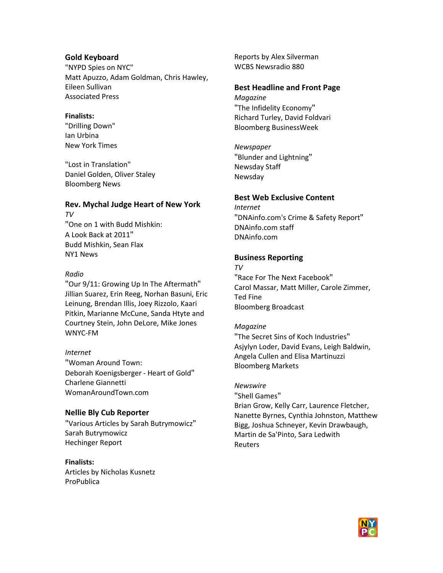### **Gold Keyboard**

"NYPD Spies on NYC" Matt Apuzzo, Adam Goldman, Chris Hawley, Eileen Sullivan Associated Press

#### **Finalists:**

"Drilling Down" Ian Urbina New York Times

"Lost in Translation" Daniel Golden, Oliver Staley Bloomberg News

### **Rev. Mychal Judge Heart of New York** *TV*

"One on 1 with Budd Mishkin: A Look Back at 2011" Budd Mishkin, Sean Flax NY1 News

### *Radio*

"Our 9/11: Growing Up In The Aftermath" Jillian Suarez, Erin Reeg, Norhan Basuni, Eric Leinung, Brendan Illis, Joey Rizzolo, Kaari Pitkin, Marianne McCune, Sanda Htyte and Courtney Stein, John DeLore, Mike Jones WNYC‐FM

### *Internet*

"Woman Around Town: Deborah Koenigsberger ‐ Heart of Gold" Charlene Giannetti WomanAroundTown.com

### **Nellie Bly Cub Reporter**

"Various Articles by Sarah Butrymowicz" Sarah Butrymowicz Hechinger Report

### **Finalists:**

Articles by Nicholas Kusnetz ProPublica

Reports by Alex Silverman WCBS Newsradio 880

#### **Best Headline and Front Page**

*Magazine* "The Infidelity Economy" Richard Turley, David Foldvari Bloomberg BusinessWeek

*Newspaper* "Blunder and Lightning" Newsday Staff Newsday

### **Best Web Exclusive Content**

*Internet* "DNAinfo.com's Crime & Safety Report" DNAinfo.com staff DNAinfo.com

#### **Business Reporting**

*TV* "Race For The Next Facebook" Carol Massar, Matt Miller, Carole Zimmer, Ted Fine Bloomberg Broadcast

#### *Magazine*

"The Secret Sins of Koch Industries" Asjylyn Loder, David Evans, Leigh Baldwin, Angela Cullen and Elisa Martinuzzi Bloomberg Markets

*Newswire*

"Shell Games"

Brian Grow, Kelly Carr, Laurence Fletcher, Nanette Byrnes, Cynthia Johnston, Matthew Bigg, Joshua Schneyer, Kevin Drawbaugh, Martin de Sa'Pinto, Sara Ledwith Reuters

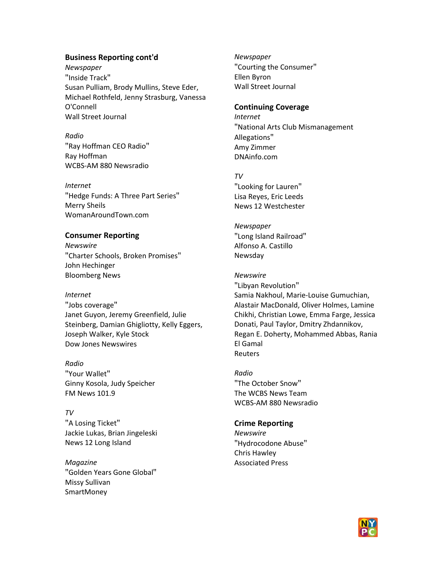### **Business Reporting cont'd**

*Newspaper* "Inside Track" Susan Pulliam, Brody Mullins, Steve Eder, Michael Rothfeld, Jenny Strasburg, Vanessa O'Connell Wall Street Journal

*Radio* "Ray Hoffman CEO Radio" Ray Hoffman WCBS‐AM 880 Newsradio

#### *Internet*

"Hedge Funds: A Three Part Series" Merry Sheils WomanAroundTown.com

#### **Consumer Reporting**

*Newswire* "Charter Schools, Broken Promises" John Hechinger Bloomberg News

#### *Internet*

"Jobs coverage" Janet Guyon, Jeremy Greenfield, Julie Steinberg, Damian Ghigliotty, Kelly Eggers, Joseph Walker, Kyle Stock Dow Jones Newswires

*Radio* "Your Wallet" Ginny Kosola, Judy Speicher FM News 101.9

#### *TV*

"A Losing Ticket" Jackie Lukas, Brian Jingeleski News 12 Long Island

*Magazine* "Golden Years Gone Global" Missy Sullivan SmartMoney

#### *Newspaper*

"Courting the Consumer" Ellen Byron Wall Street Journal

#### **Continuing Coverage**

*Internet* "National Arts Club Mismanagement Allegations" Amy Zimmer DNAinfo.com

#### *TV*

"Looking for Lauren" Lisa Reyes, Eric Leeds News 12 Westchester

#### *Newspaper*

"Long Island Railroad" Alfonso A. Castillo Newsday

#### *Newswire*

"Libyan Revolution" Samia Nakhoul, Marie‐Louise Gumuchian, Alastair MacDonald, Oliver Holmes, Lamine Chikhi, Christian Lowe, Emma Farge, Jessica Donati, Paul Taylor, Dmitry Zhdannikov, Regan E. Doherty, Mohammed Abbas, Rania El Gamal Reuters

*Radio* "The October Snow" The WCBS News Team WCBS‐AM 880 Newsradio

### **Crime Reporting**

*Newswire* "Hydrocodone Abuse" Chris Hawley Associated Press

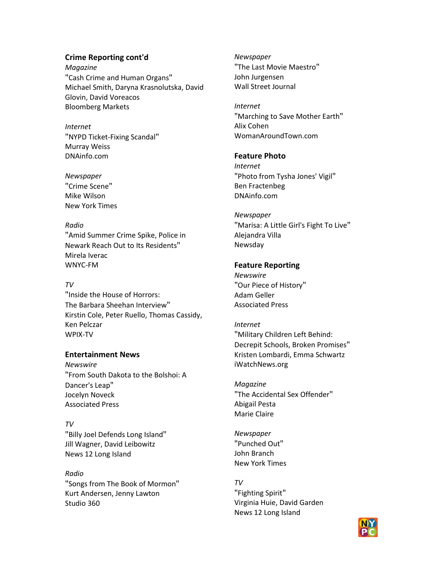## **Crime Reporting cont'd**

*Magazine* "Cash Crime and Human Organs" Michael Smith, Daryna Krasnolutska, David Glovin, David Voreacos Bloomberg Markets

*Internet* "NYPD Ticket‐Fixing Scandal" Murray Weiss DNAinfo.com

*Newspaper* "Crime Scene" Mike Wilson New York Times

### *Radio*

"Amid Summer Crime Spike, Police in Newark Reach Out to Its Residents" Mirela Iverac WNYC‐FM

## *TV*

"Inside the House of Horrors: The Barbara Sheehan Interview" Kirstin Cole, Peter Ruello, Thomas Cassidy, Ken Pelczar WPIX‐TV

## **Entertainment News**

*Newswire* "From South Dakota to the Bolshoi: A Dancer's Leap" Jocelyn Noveck Associated Press

*TV* "Billy Joel Defends Long Island" Jill Wagner, David Leibowitz News 12 Long Island

*Radio* "Songs from The Book of Mormon" Kurt Andersen, Jenny Lawton Studio 360

*Newspaper* "The Last Movie Maestro" John Jurgensen Wall Street Journal

*Internet* "Marching to Save Mother Earth" Alix Cohen WomanAroundTown.com

## **Feature Photo**

*Internet* "Photo from Tysha Jones' Vigil" Ben Fractenbeg DNAinfo.com

## *Newspaper*

"Marisa: A Little Girl's Fight To Live" Alejandra Villa Newsday

## **Feature Reporting**

*Newswire* "Our Piece of History" Adam Geller Associated Press

## *Internet* "Military Children Left Behind: Decrepit Schools, Broken Promises" Kristen Lombardi, Emma Schwartz iWatchNews.org

*Magazine* "The Accidental Sex Offender" Abigail Pesta Marie Claire

*Newspaper* "Punched Out" John Branch New York Times

## *TV*

"Fighting Spirit" Virginia Huie, David Garden News 12 Long Island

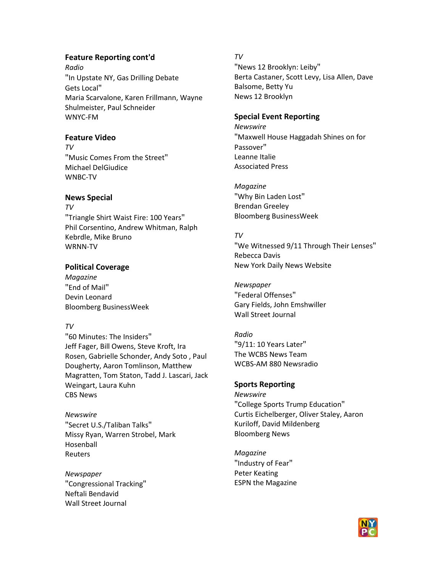## **Feature Reporting cont'd**

*Radio* "In Upstate NY, Gas Drilling Debate Gets Local" Maria Scarvalone, Karen Frillmann, Wayne Shulmeister, Paul Schneider WNYC‐FM

## **Feature Video**

*TV* "Music Comes From the Street" Michael DelGiudice WNBC‐TV

## **News Special**

*TV* "Triangle Shirt Waist Fire: 100 Years" Phil Corsentino, Andrew Whitman, Ralph Kebrdle, Mike Bruno WRNN‐TV

## **Political Coverage**

*Magazine* "End of Mail" Devin Leonard Bloomberg BusinessWeek

## *TV*

"60 Minutes: The Insiders" Jeff Fager, Bill Owens, Steve Kroft, Ira Rosen, Gabrielle Schonder, Andy Soto , Paul Dougherty, Aaron Tomlinson, Matthew Magratten, Tom Staton, Tadd J. Lascari, Jack Weingart, Laura Kuhn CBS News

*Newswire* "Secret U.S./Taliban Talks" Missy Ryan, Warren Strobel, Mark Hosenball Reuters

*Newspaper* "Congressional Tracking" Neftali Bendavid Wall Street Journal

### *TV*

"News 12 Brooklyn: Leiby" Berta Castaner, Scott Levy, Lisa Allen, Dave Balsome, Betty Yu News 12 Brooklyn

### **Special Event Reporting**

*Newswire* "Maxwell House Haggadah Shines on for Passover" Leanne Italie Associated Press

*Magazine* "Why Bin Laden Lost" Brendan Greeley Bloomberg BusinessWeek

## *TV*

"We Witnessed 9/11 Through Their Lenses" Rebecca Davis New York Daily News Website

*Newspaper* "Federal Offenses" Gary Fields, John Emshwiller Wall Street Journal

*Radio* "9/11: 10 Years Later" The WCBS News Team WCBS‐AM 880 Newsradio

# **Sports Reporting**

*Newswire* "College Sports Trump Education" Curtis Eichelberger, Oliver Staley, Aaron Kuriloff, David Mildenberg Bloomberg News

*Magazine* "Industry of Fear" Peter Keating ESPN the Magazine